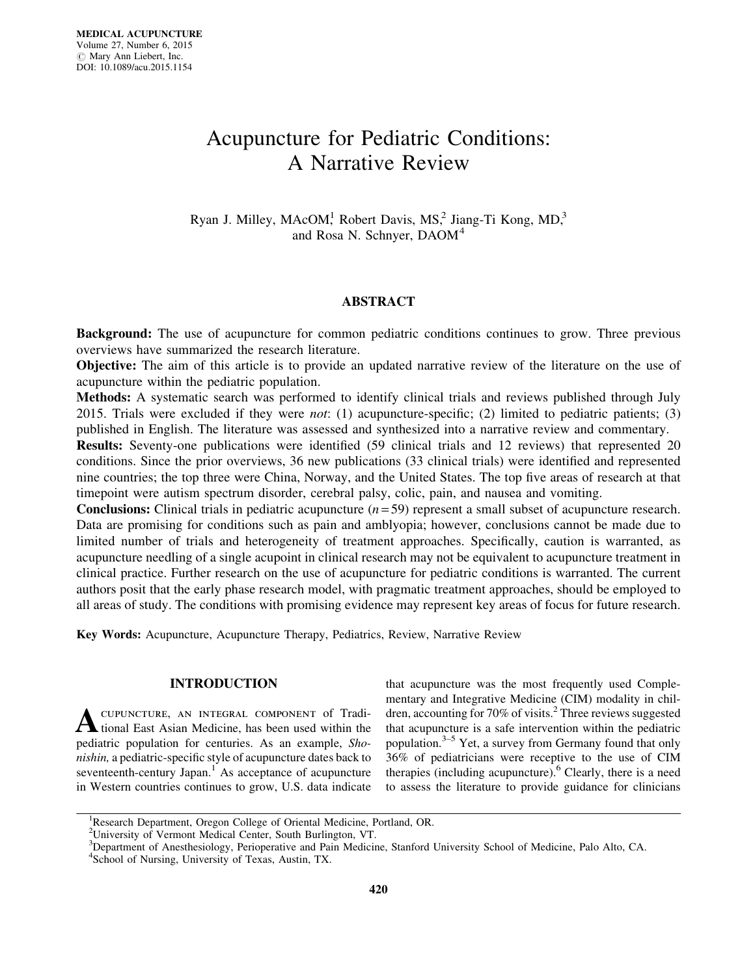# Acupuncture for Pediatric Conditions: A Narrative Review

Ryan J. Milley, MAcOM,<sup>1</sup> Robert Davis, MS,<sup>2</sup> Jiang-Ti Kong, MD,<sup>3</sup> and Rosa N. Schnyer, DAOM<sup>4</sup>

# ABSTRACT

Background: The use of acupuncture for common pediatric conditions continues to grow. Three previous overviews have summarized the research literature.

Objective: The aim of this article is to provide an updated narrative review of the literature on the use of acupuncture within the pediatric population.

Methods: A systematic search was performed to identify clinical trials and reviews published through July 2015. Trials were excluded if they were not: (1) acupuncture-specific; (2) limited to pediatric patients; (3) published in English. The literature was assessed and synthesized into a narrative review and commentary.

Results: Seventy-one publications were identified (59 clinical trials and 12 reviews) that represented 20 conditions. Since the prior overviews, 36 new publications (33 clinical trials) were identified and represented nine countries; the top three were China, Norway, and the United States. The top five areas of research at that timepoint were autism spectrum disorder, cerebral palsy, colic, pain, and nausea and vomiting.

**Conclusions:** Clinical trials in pediatric acupuncture  $(n = 59)$  represent a small subset of acupuncture research. Data are promising for conditions such as pain and amblyopia; however, conclusions cannot be made due to limited number of trials and heterogeneity of treatment approaches. Specifically, caution is warranted, as acupuncture needling of a single acupoint in clinical research may not be equivalent to acupuncture treatment in clinical practice. Further research on the use of acupuncture for pediatric conditions is warranted. The current authors posit that the early phase research model, with pragmatic treatment approaches, should be employed to all areas of study. The conditions with promising evidence may represent key areas of focus for future research.

Key Words: Acupuncture, Acupuncture Therapy, Pediatrics, Review, Narrative Review

## INTRODUCTION

A CUPUNCTURE, AN INTEGRAL COMPONENT of Tradi-<br>tional East Asian Medicine, has been used within the pediatric population for centuries. As an example, Shonishin, a pediatric-specific style of acupuncture dates back to seventeenth-century Japan. $<sup>1</sup>$  As acceptance of acupuncture</sup> in Western countries continues to grow, U.S. data indicate that acupuncture was the most frequently used Complementary and Integrative Medicine (CIM) modality in children, accounting for 70% of visits.<sup>2</sup> Three reviews suggested that acupuncture is a safe intervention within the pediatric population.3–5 Yet, a survey from Germany found that only 36% of pediatricians were receptive to the use of CIM therapies (including acupuncture). $<sup>6</sup>$  Clearly, there is a need</sup> to assess the literature to provide guidance for clinicians

<sup>&</sup>lt;sup>1</sup>Research Department, Oregon College of Oriental Medicine, Portland, OR.

<sup>2</sup> University of Vermont Medical Center, South Burlington, VT.

<sup>&</sup>lt;sup>3</sup>Department of Anesthesiology, Perioperative and Pain Medicine, Stanford University School of Medicine, Palo Alto, CA. 4 School of Nursing, University of Texas, Austin, TX.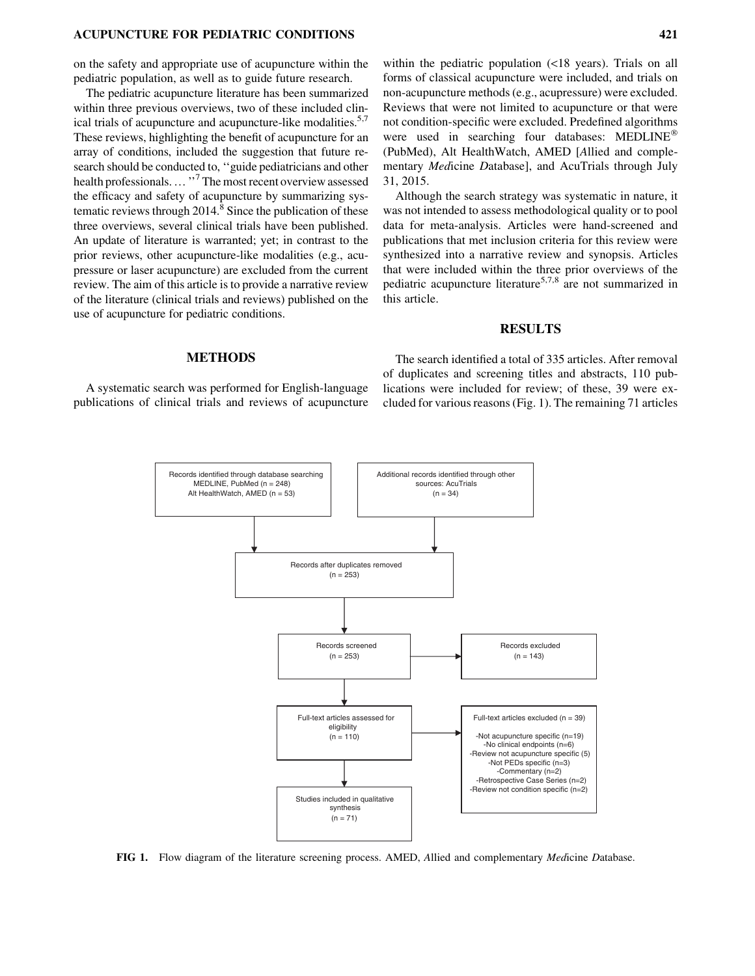on the safety and appropriate use of acupuncture within the pediatric population, as well as to guide future research.

The pediatric acupuncture literature has been summarized within three previous overviews, two of these included clinical trials of acupuncture and acupuncture-like modalities.<sup>5,7</sup> These reviews, highlighting the benefit of acupuncture for an array of conditions, included the suggestion that future research should be conducted to, ''guide pediatricians and other health professionals...."<sup>7</sup> The most recent overview assessed the efficacy and safety of acupuncture by summarizing systematic reviews through  $2014<sup>8</sup>$  Since the publication of these three overviews, several clinical trials have been published. An update of literature is warranted; yet; in contrast to the prior reviews, other acupuncture-like modalities (e.g., acupressure or laser acupuncture) are excluded from the current review. The aim of this article is to provide a narrative review of the literature (clinical trials and reviews) published on the use of acupuncture for pediatric conditions.

within the pediatric population (<18 years). Trials on all forms of classical acupuncture were included, and trials on non-acupuncture methods (e.g., acupressure) were excluded. Reviews that were not limited to acupuncture or that were not condition-specific were excluded. Predefined algorithms were used in searching four databases: MEDLINE<sup>®</sup> (PubMed), Alt HealthWatch, AMED [Allied and complementary Medicine Database], and AcuTrials through July 31, 2015.

Although the search strategy was systematic in nature, it was not intended to assess methodological quality or to pool data for meta-analysis. Articles were hand-screened and publications that met inclusion criteria for this review were synthesized into a narrative review and synopsis. Articles that were included within the three prior overviews of the pediatric acupuncture literature<sup>5,7,8</sup> are not summarized in this article.

#### RESULTS

#### METHODS

A systematic search was performed for English-language publications of clinical trials and reviews of acupuncture

The search identified a total of 335 articles. After removal of duplicates and screening titles and abstracts, 110 publications were included for review; of these, 39 were excluded for various reasons (Fig. 1). The remaining 71 articles



FIG 1. Flow diagram of the literature screening process. AMED, Allied and complementary *Medicine Database.*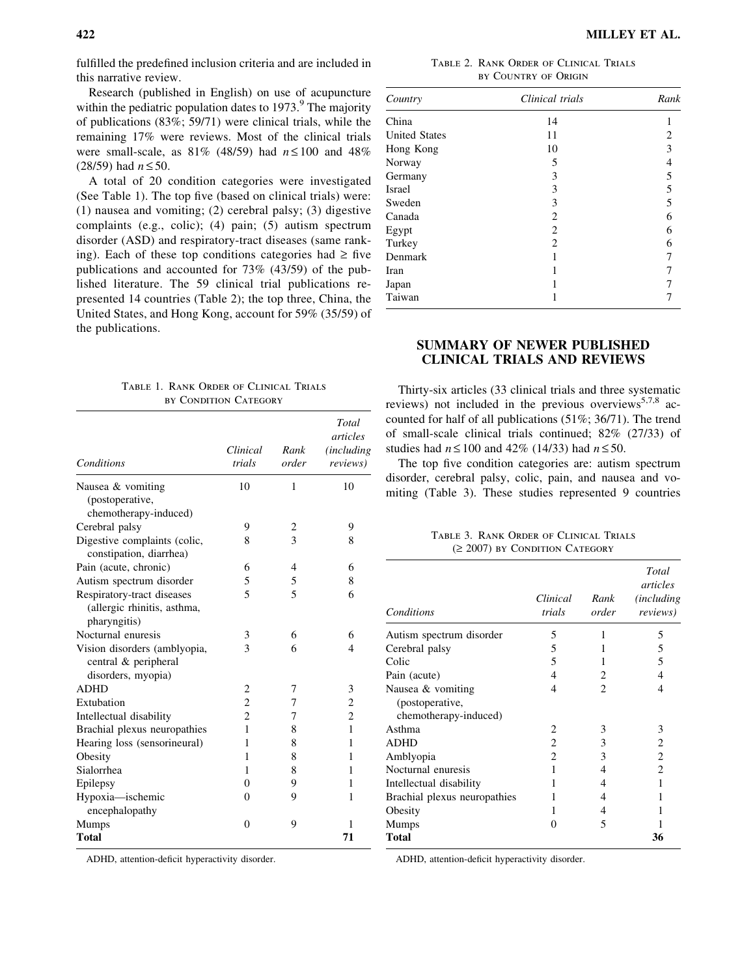fulfilled the predefined inclusion criteria and are included in this narrative review.

Research (published in English) on use of acupuncture within the pediatric population dates to  $1973<sup>9</sup>$ . The majority of publications (83%; 59/71) were clinical trials, while the remaining 17% were reviews. Most of the clinical trials were small-scale, as  $81\%$  (48/59) had  $n \le 100$  and 48%  $(28/59)$  had  $n \le 50$ .

A total of 20 condition categories were investigated (See Table 1). The top five (based on clinical trials) were: (1) nausea and vomiting; (2) cerebral palsy; (3) digestive complaints (e.g., colic); (4) pain; (5) autism spectrum disorder (ASD) and respiratory-tract diseases (same ranking). Each of these top conditions categories had  $\geq$  five publications and accounted for 73% (43/59) of the published literature. The 59 clinical trial publications represented 14 countries (Table 2); the top three, China, the United States, and Hong Kong, account for 59% (35/59) of the publications.

|  |  | TABLE 1. RANK ORDER OF CLINICAL TRIALS |  |
|--|--|----------------------------------------|--|
|  |  | BY CONDITION CATEGORY                  |  |

| <b>Conditions</b>            | Clinical<br>trials | Rank<br>order | Total<br>articles<br><i>(including)</i><br>reviews) |
|------------------------------|--------------------|---------------|-----------------------------------------------------|
| Nausea & vomiting            | 10                 | 1             | 10                                                  |
| (postoperative,              |                    |               |                                                     |
| chemotherapy-induced)        |                    |               |                                                     |
| Cerebral palsy               | 9                  | 2             | 9                                                   |
| Digestive complaints (colic, | 8                  | 3             | 8                                                   |
| constipation, diarrhea)      |                    |               |                                                     |
| Pain (acute, chronic)        | 6                  | 4             | 6                                                   |
| Autism spectrum disorder     | 5                  | 5             | 8                                                   |
| Respiratory-tract diseases   | 5                  | 5             | 6                                                   |
| (allergic rhinitis, asthma,  |                    |               |                                                     |
| pharyngitis)                 |                    |               |                                                     |
| Nocturnal enuresis           | 3                  | 6             | 6                                                   |
| Vision disorders (amblyopia, | 3                  | 6             | 4                                                   |
| central & peripheral         |                    |               |                                                     |
| disorders, myopia)           |                    |               |                                                     |
| <b>ADHD</b>                  | $\overline{2}$     | 7             | 3                                                   |
| Extubation                   | $\overline{c}$     | 7             | $\overline{c}$                                      |
| Intellectual disability      | $\overline{c}$     | 7             | $\overline{c}$                                      |
| Brachial plexus neuropathies | 1                  | 8             | $\mathbf{1}$                                        |
| Hearing loss (sensorineural) | 1                  | 8             | 1                                                   |
| Obesity                      | 1                  | 8             | 1                                                   |
| Sialorrhea                   | 1                  | 8             | 1                                                   |
| Epilepsy                     | 0                  | 9             | 1                                                   |
| Hypoxia-ischemic             | 0                  | 9             | 1                                                   |
| encephalopathy               |                    |               |                                                     |
| <b>Mumps</b>                 | $\Omega$           | 9             | 1                                                   |
| <b>Total</b>                 |                    |               | 71                                                  |

ADHD, attention-deficit hyperactivity disorder.

| TABLE 2. RANK ORDER OF CLINICAL TRIALS |
|----------------------------------------|
| by COUNTRY OF ORIGIN                   |

| Country              | Clinical trials | Rank |
|----------------------|-----------------|------|
| China                | 14              |      |
| <b>United States</b> | 11              | 2    |
| Hong Kong            | 10              | 3    |
| Norway               | 5               | 4    |
| Germany              | 3               | 5    |
| <b>Israel</b>        | 3               | 5    |
| Sweden               | 3               | 5    |
| Canada               | 2               | 6    |
| Egypt                | 2               | 6    |
| Turkey               | 2               | 6    |
| Denmark              | 1               |      |
| Iran                 | 1               |      |
| Japan                |                 |      |
| Taiwan               |                 |      |

# SUMMARY OF NEWER PUBLISHED CLINICAL TRIALS AND REVIEWS

Thirty-six articles (33 clinical trials and three systematic reviews) not included in the previous overviews<sup>5,7,8</sup> accounted for half of all publications (51%; 36/71). The trend of small-scale clinical trials continued; 82% (27/33) of studies had  $n \le 100$  and 42% (14/33) had  $n \le 50$ .

The top five condition categories are: autism spectrum disorder, cerebral palsy, colic, pain, and nausea and vomiting (Table 3). These studies represented 9 countries

Table 3. Rank Order of Clinical Trials  $(≥ 2007)$  by Condition Category

| <b>Conditions</b>                                             | Clinical<br>trials | Rank<br>order               | Total<br>articles<br><i>(including)</i><br><i>reviews</i> ) |
|---------------------------------------------------------------|--------------------|-----------------------------|-------------------------------------------------------------|
| Autism spectrum disorder                                      | 5                  | 1                           | 5                                                           |
| Cerebral palsy                                                | 5                  | 1                           | 5                                                           |
| Colic                                                         | 5                  | 1                           | 5                                                           |
| Pain (acute)                                                  | 4                  | 2                           | 4                                                           |
| Nausea & vomiting<br>(postoperative,<br>chemotherapy-induced) | 4                  | $\mathcal{D}_{\mathcal{L}}$ | 4                                                           |
| Asthma                                                        | 2                  | 3                           | 3                                                           |
| <b>ADHD</b>                                                   | 2                  | 3                           | $\overline{c}$                                              |
| Amblyopia                                                     | 2                  | 3                           | 2                                                           |
| Nocturnal enuresis                                            | 1                  | 4                           | 2                                                           |
| Intellectual disability                                       | 1                  | 4                           | 1                                                           |
| Brachial plexus neuropathies                                  | 1                  | 4                           |                                                             |
| Obesity                                                       | 1                  | 4                           |                                                             |
| Mumps                                                         | 0                  | 5                           |                                                             |
| <b>Total</b>                                                  |                    |                             | 36                                                          |

ADHD, attention-deficit hyperactivity disorder.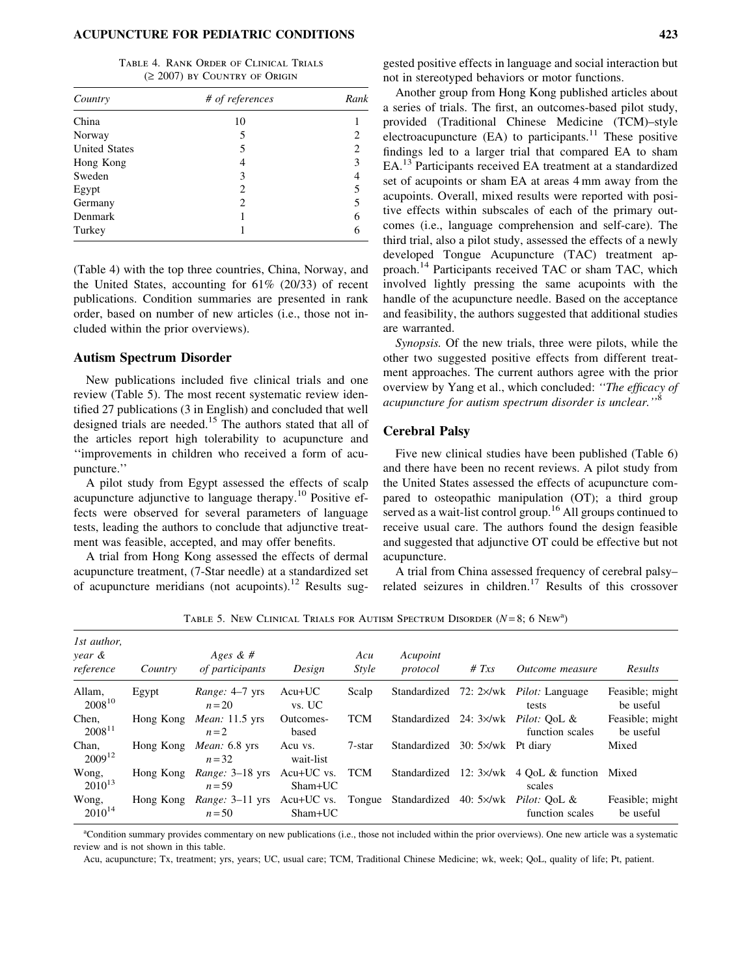Table 4. Rank Order of Clinical Trials  $(≥ 2007)$  by Country of Origin

| Country              | # of references | Rank |
|----------------------|-----------------|------|
| China                | 10              |      |
| Norway               | 5               |      |
| <b>United States</b> | 5               | 2    |
| Hong Kong            | 4               | 3    |
| Sweden               | 3               |      |
| Egypt                | 2               |      |
| Germany              | 2               | 5    |
| Denmark              |                 | 6    |
| Turkey               |                 |      |

(Table 4) with the top three countries, China, Norway, and the United States, accounting for 61% (20/33) of recent publications. Condition summaries are presented in rank order, based on number of new articles (i.e., those not included within the prior overviews).

## Autism Spectrum Disorder

New publications included five clinical trials and one review (Table 5). The most recent systematic review identified 27 publications (3 in English) and concluded that well designed trials are needed.<sup>15</sup> The authors stated that all of the articles report high tolerability to acupuncture and ''improvements in children who received a form of acupuncture.''

A pilot study from Egypt assessed the effects of scalp acupuncture adjunctive to language therapy.<sup>10</sup> Positive effects were observed for several parameters of language tests, leading the authors to conclude that adjunctive treatment was feasible, accepted, and may offer benefits.

A trial from Hong Kong assessed the effects of dermal acupuncture treatment, (7-Star needle) at a standardized set of acupuncture meridians (not acupoints).<sup>12</sup> Results suggested positive effects in language and social interaction but not in stereotyped behaviors or motor functions.

Another group from Hong Kong published articles about a series of trials. The first, an outcomes-based pilot study, provided (Traditional Chinese Medicine (TCM)–style electroacupuncture  $(EA)$  to participants.<sup>11</sup> These positive findings led to a larger trial that compared EA to sham EA.<sup>13</sup> Participants received EA treatment at a standardized set of acupoints or sham EA at areas 4 mm away from the acupoints. Overall, mixed results were reported with positive effects within subscales of each of the primary outcomes (i.e., language comprehension and self-care). The third trial, also a pilot study, assessed the effects of a newly developed Tongue Acupuncture (TAC) treatment approach.<sup>14</sup> Participants received TAC or sham TAC, which involved lightly pressing the same acupoints with the handle of the acupuncture needle. Based on the acceptance and feasibility, the authors suggested that additional studies are warranted.

Synopsis. Of the new trials, three were pilots, while the other two suggested positive effects from different treatment approaches. The current authors agree with the prior overview by Yang et al., which concluded: ''The efficacy of acupuncture for autism spectrum disorder is unclear.''<sup>8</sup>

## Cerebral Palsy

Five new clinical studies have been published (Table 6) and there have been no recent reviews. A pilot study from the United States assessed the effects of acupuncture compared to osteopathic manipulation (OT); a third group served as a wait-list control group.<sup>16</sup> All groups continued to receive usual care. The authors found the design feasible and suggested that adjunctive OT could be effective but not acupuncture.

A trial from China assessed frequency of cerebral palsy– related seizures in children.<sup>17</sup> Results of this crossover

| 1st author,<br>year &<br>reference | Country   | Ages & $#$<br>of participants                                                                   | Design               | Acu<br><i>Style</i> | Acupoint<br>protocol | # $Txs$                    | <i><u>Outcome measure</u></i>                        | Results                      |
|------------------------------------|-----------|-------------------------------------------------------------------------------------------------|----------------------|---------------------|----------------------|----------------------------|------------------------------------------------------|------------------------------|
| Allam,<br>$2008^{10}$              | Egypt     | <i>Range:</i> 4–7 yrs<br>$n=20$                                                                 | $Acu+UC$<br>vs. UC   | Scalp               |                      |                            | Standardized 72: 2×/wk Pilot: Language<br>tests      | Feasible; might<br>be useful |
| Chen,<br>$2008^{11}$               | Hong Kong | <i>Mean</i> : 11.5 yrs<br>$n=2$                                                                 | Outcomes-<br>based   | <b>TCM</b>          | Standardized         |                            | 24: 3×/wk Pilot: OoL &<br>function scales            | Feasible; might<br>be useful |
| Chan,<br>$2009^{12}$               | Hong Kong | <i>Mean</i> : $6.8$ yrs<br>$n = 32$                                                             | Acu vs.<br>wait-list | 7-star              | Standardized         | $30:5 \times /wk$ Pt diary |                                                      | Mixed                        |
| Wong,<br>$2010^{13}$               | Hong Kong | <i>Range:</i> 3–18 yrs Acu+UC vs.<br>$n = 59$                                                   | $Sham+UC$            | TCM                 | Standardized         |                            | 12: $3 \times / wk$ 4 OoL & function Mixed<br>scales |                              |
| Wong,<br>$2010^{14}$               | Hong Kong | <i>Range:</i> 3–11 yrs Acu+UC vs. Tongue Standardized 40: 5×/wk <i>Pilot:</i> OoL &<br>$n = 50$ | Sham+UC              |                     |                      |                            | function scales                                      | Feasible: might<br>be useful |

TABLE 5. NEW CLINICAL TRIALS FOR AUTISM SPECTRUM DISORDER  $(N=8; 6 \text{ New}^3)$ 

a Condition summary provides commentary on new publications (i.e., those not included within the prior overviews). One new article was a systematic review and is not shown in this table.

Acu, acupuncture; Tx, treatment; yrs, years; UC, usual care; TCM, Traditional Chinese Medicine; wk, week; QoL, quality of life; Pt, patient.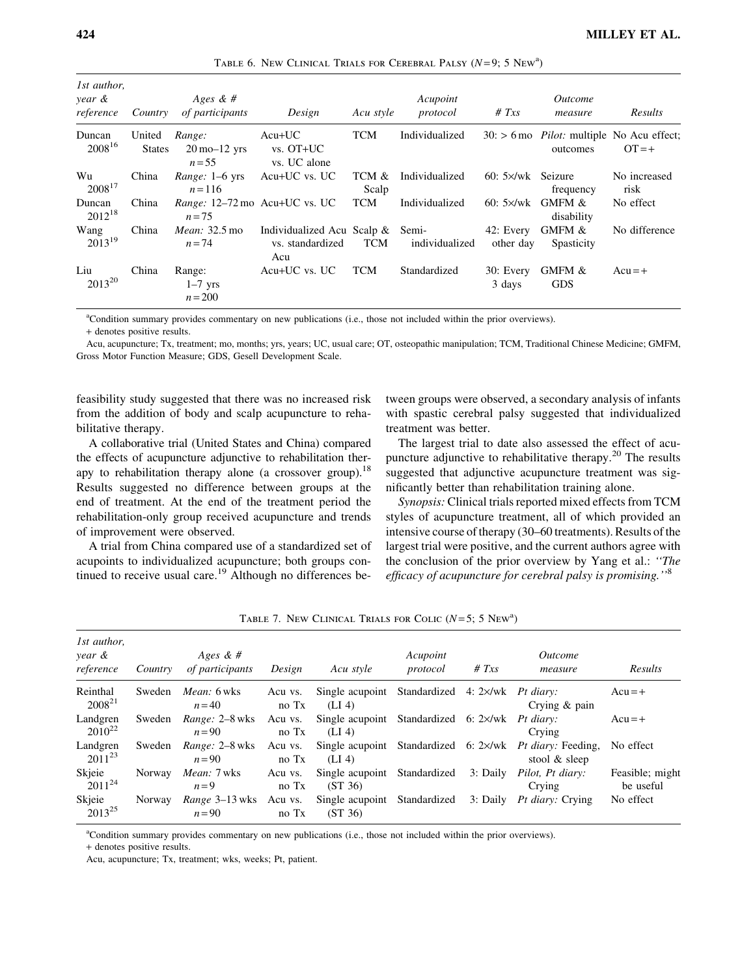| 1st author,<br>year &<br>reference | Country                 | Ages & #<br>of participants                            | Design                                                      | Acu style      | Acupoint<br>protocol | # $Txs$                   | <i><u>Outcome</u></i><br>measure                                | Results              |
|------------------------------------|-------------------------|--------------------------------------------------------|-------------------------------------------------------------|----------------|----------------------|---------------------------|-----------------------------------------------------------------|----------------------|
| Duncan<br>2008 <sup>16</sup>       | United<br><b>States</b> | Range:<br>$20 \text{ mo} - 12 \text{ yrs}$<br>$n = 55$ | $Acu+UC$<br>$vs. OT+UC$<br>vs. UC alone                     | <b>TCM</b>     | Individualized       |                           | $30:$ > 6 mo <i>Pilot</i> : multiple No Acu effect;<br>outcomes | $OT = +$             |
| Wu<br>$2008^{17}$                  | China                   | <i>Range</i> : $1-6$ yrs<br>$n = 116$                  | Acu+UC vs. UC                                               | TCM &<br>Scalp | Individualized       | $60:5 \times /wk$ Seizure | frequency                                                       | No increased<br>risk |
| Duncan<br>$2012^{18}$              | China                   | Range: 12–72 mo Acu+UC vs. UC<br>$n = 75$              |                                                             | <b>TCM</b>     | Individualized       | $60:5 \times$ /wk         | <b>GMFM &amp;</b><br>disability                                 | No effect            |
| Wang<br>$2013^{19}$                | China                   | <i>Mean:</i> 32.5 mo<br>$n = 74$                       | Individualized Acu Scalp & Semi-<br>vs. standardized<br>Acu | <b>TCM</b>     | individualized       | 42: Every<br>other day    | GMFM &<br>Spasticity                                            | No difference        |
| Liu<br>$2013^{20}$                 | China                   | Range:<br>$1-7$ yrs<br>$n = 200$                       | Acu+UC vs. UC                                               | <b>TCM</b>     | Standardized         | 30: Every<br>3 days       | GMFM &<br><b>GDS</b>                                            | $Acu = +$            |

TABLE 6. NEW CLINICAL TRIALS FOR CEREBRAL PALSY  $(N=9; 5 \text{ New}^3)$ 

a Condition summary provides commentary on new publications (i.e., those not included within the prior overviews).

+ denotes positive results.

Acu, acupuncture; Tx, treatment; mo, months; yrs, years; UC, usual care; OT, osteopathic manipulation; TCM, Traditional Chinese Medicine; GMFM, Gross Motor Function Measure; GDS, Gesell Development Scale.

feasibility study suggested that there was no increased risk from the addition of body and scalp acupuncture to rehabilitative therapy.

A collaborative trial (United States and China) compared the effects of acupuncture adjunctive to rehabilitation therapy to rehabilitation therapy alone (a crossover group).<sup>18</sup> Results suggested no difference between groups at the end of treatment. At the end of the treatment period the rehabilitation-only group received acupuncture and trends of improvement were observed.

A trial from China compared use of a standardized set of acupoints to individualized acupuncture; both groups continued to receive usual care.<sup>19</sup> Although no differences between groups were observed, a secondary analysis of infants with spastic cerebral palsy suggested that individualized treatment was better.

The largest trial to date also assessed the effect of acupuncture adjunctive to rehabilitative therapy. $20$  The results suggested that adjunctive acupuncture treatment was significantly better than rehabilitation training alone.

Synopsis: Clinical trials reported mixed effects from TCM styles of acupuncture treatment, all of which provided an intensive course of therapy (30–60 treatments). Results of the largest trial were positive, and the current authors agree with the conclusion of the prior overview by Yang et al.: ''The efficacy of acupuncture for cerebral palsy is promising.''<sup>8</sup>

| 1st author,<br>year &<br>reference | Country | Ages & $#$<br>of participants  | Design           | Acu style                                                | Acupoint<br>protocol | # $Txs$  | <i>Outcome</i><br>measure                                                   | Results                      |
|------------------------------------|---------|--------------------------------|------------------|----------------------------------------------------------|----------------------|----------|-----------------------------------------------------------------------------|------------------------------|
| Reinthal<br>$2008^{21}$            | Sweden  | <i>Mean:</i> 6 wks<br>$n = 40$ | Acu vs.<br>no Tx | Single acupoint Standardized 4: 2×/wk Pt diary:<br>(LI4) |                      |          | Crying $\&$ pain                                                            | $Acu = +$                    |
| Landgren<br>$2010^{22}$            | Sweden  | Range: 2-8 wks<br>$n = 90$     | Acu vs.<br>no Tx | Single acupoint Standardized 6: 2×/wk Pt diary:<br>(LI4) |                      |          | Crying                                                                      | $Acu = +$                    |
| Landgren<br>$2011^{23}$            | Sweden  | Range: 2-8 wks<br>$n=90$       | Acu vs.<br>no Tx | (LI4)                                                    |                      |          | Single acupoint Standardized 6: 2×/wk Pt diary: Feeding,<br>stool $&$ sleep | No effect                    |
| Skjeie<br>$2011^{24}$              | Norway  | <i>Mean:</i> 7 wks<br>$n=9$    | Acu vs.<br>no Tx | Single acupoint<br>(ST 36)                               | Standardized         | 3: Daily | Pilot, Pt diary:<br>Crying                                                  | Feasible; might<br>be useful |
| Skjeie<br>$2013^{25}$              | Norway  | Range 3–13 wks<br>$n=90$       | Acu vs.<br>no Tx | Single acupoint Standardized<br>(ST 36)                  |                      | 3: Daily | <i>Pt diary:</i> Crying                                                     | No effect                    |

TABLE 7. NEW CLINICAL TRIALS FOR COLIC  $(N=5; 5 \text{ New}^3)$ 

a Condition summary provides commentary on new publications (i.e., those not included within the prior overviews).

+ denotes positive results.

Acu, acupuncture; Tx, treatment; wks, weeks; Pt, patient.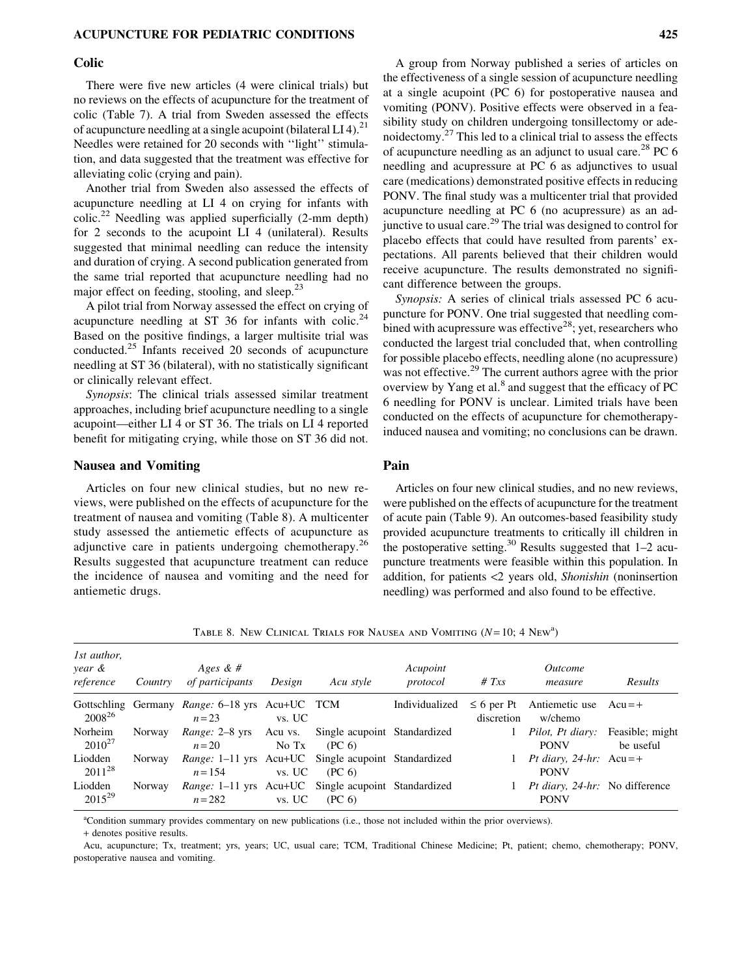## Colic

There were five new articles (4 were clinical trials) but no reviews on the effects of acupuncture for the treatment of colic (Table 7). A trial from Sweden assessed the effects of acupuncture needling at a single acupoint (bilateral LI 4).<sup>21</sup> Needles were retained for 20 seconds with ''light'' stimulation, and data suggested that the treatment was effective for alleviating colic (crying and pain).

Another trial from Sweden also assessed the effects of acupuncture needling at LI 4 on crying for infants with  $colic.<sup>22</sup> Needling was applied superficially (2-mm depth)$ for 2 seconds to the acupoint LI 4 (unilateral). Results suggested that minimal needling can reduce the intensity and duration of crying. A second publication generated from the same trial reported that acupuncture needling had no major effect on feeding, stooling, and sleep.<sup>23</sup>

A pilot trial from Norway assessed the effect on crying of acupuncture needling at ST 36 for infants with colic.<sup>24</sup> Based on the positive findings, a larger multisite trial was conducted.<sup>25</sup> Infants received 20 seconds of acupuncture needling at ST 36 (bilateral), with no statistically significant or clinically relevant effect.

Synopsis: The clinical trials assessed similar treatment approaches, including brief acupuncture needling to a single acupoint—either LI 4 or ST 36. The trials on LI 4 reported benefit for mitigating crying, while those on ST 36 did not.

#### Nausea and Vomiting

Articles on four new clinical studies, but no new reviews, were published on the effects of acupuncture for the treatment of nausea and vomiting (Table 8). A multicenter study assessed the antiemetic effects of acupuncture as adjunctive care in patients undergoing chemotherapy.<sup>26</sup> Results suggested that acupuncture treatment can reduce the incidence of nausea and vomiting and the need for antiemetic drugs.

A group from Norway published a series of articles on the effectiveness of a single session of acupuncture needling at a single acupoint (PC 6) for postoperative nausea and vomiting (PONV). Positive effects were observed in a feasibility study on children undergoing tonsillectomy or adenoidectomy.<sup>27</sup> This led to a clinical trial to assess the effects of acupuncture needling as an adjunct to usual care.<sup>28</sup> PC 6 needling and acupressure at PC 6 as adjunctives to usual care (medications) demonstrated positive effects in reducing PONV. The final study was a multicenter trial that provided acupuncture needling at PC 6 (no acupressure) as an adjunctive to usual care.<sup>29</sup> The trial was designed to control for placebo effects that could have resulted from parents' expectations. All parents believed that their children would receive acupuncture. The results demonstrated no significant difference between the groups.

Synopsis: A series of clinical trials assessed PC 6 acupuncture for PONV. One trial suggested that needling combined with acupressure was effective<sup>28</sup>; yet, researchers who conducted the largest trial concluded that, when controlling for possible placebo effects, needling alone (no acupressure) was not effective.<sup>29</sup> The current authors agree with the prior overview by Yang et al.<sup>8</sup> and suggest that the efficacy of PC 6 needling for PONV is unclear. Limited trials have been conducted on the effects of acupuncture for chemotherapyinduced nausea and vomiting; no conclusions can be drawn.

# Pain

Articles on four new clinical studies, and no new reviews, were published on the effects of acupuncture for the treatment of acute pain (Table 9). An outcomes-based feasibility study provided acupuncture treatments to critically ill children in the postoperative setting.<sup>30</sup> Results suggested that  $1-2$  acupuncture treatments were feasible within this population. In addition, for patients <2 years old, Shonishin (noninsertion needling) was performed and also found to be effective.

| 1st author,<br>year &<br>reference | Country | Ages & $#$<br>of participants                                           | Design | Acu style                                          | Acupoint<br>protocol | # $Txs$                       | <i>Outcome</i><br>measure                              | Results   |
|------------------------------------|---------|-------------------------------------------------------------------------|--------|----------------------------------------------------|----------------------|-------------------------------|--------------------------------------------------------|-----------|
| $2008^{26}$                        |         | Gottschling Germany <i>Range</i> : 6–18 yrs Acu+UC TCM<br>$n = 23$      | vs. UC |                                                    | Individualized       | $\leq 6$ per Pt<br>discretion | Antiemetic use $Acu = +$<br>w/chemo                    |           |
| Norheim<br>$2010^{27}$             | Norway  | <i>Range:</i> 2–8 yrs Acu vs.<br>$n=20$                                 | No Tx  | Single acupoint Standardized<br>(PC <sub>6</sub> ) |                      | 1                             | <i>Pilot, Pt diary:</i> Feasible; might<br><b>PONV</b> | be useful |
| Liodden<br>$2011^{28}$             | Norway  | <i>Range:</i> 1–11 yrs Acu+UC Single acupoint Standardized<br>$n = 154$ | vs. UC | (PC 6)                                             |                      | $\mathbf{1}$                  | Pt diary, 24-hr: $Acu = +$<br><b>PONV</b>              |           |
| Liodden<br>$2015^{29}$             | Norway  | Range: 1-11 yrs Acu+UC Single acupoint Standardized<br>$n = 282$        | vs. UC | (PC <sub>6</sub> )                                 |                      |                               | <i>Pt diary, 24-hr:</i> No difference<br><b>PONV</b>   |           |

TABLE 8. NEW CLINICAL TRIALS FOR NAUSEA AND VOMITING  $(N=10; 4 \text{ New}^3)$ 

a Condition summary provides commentary on new publications (i.e., those not included within the prior overviews).

+ denotes positive results.

Acu, acupuncture; Tx, treatment; yrs, years; UC, usual care; TCM, Traditional Chinese Medicine; Pt, patient; chemo, chemotherapy; PONV, postoperative nausea and vomiting.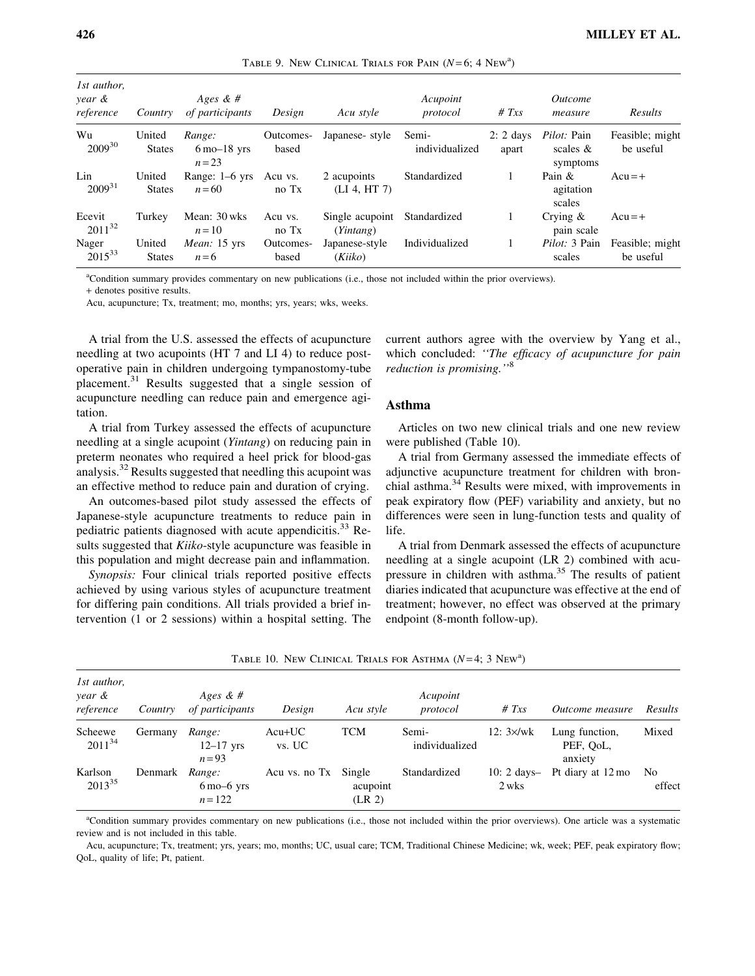| 1st author,<br>year &<br>reference | Country                 | Ages & $#$<br>of participants                         | Design             | Acu style                    | Acupoint<br>protocol    | # $Txs$              | <i><u>Outcome</u></i><br>measure              | Results                      |
|------------------------------------|-------------------------|-------------------------------------------------------|--------------------|------------------------------|-------------------------|----------------------|-----------------------------------------------|------------------------------|
| Wu<br>$2009^{30}$                  | United<br><b>States</b> | Range:<br>$6 \text{ mo} - 18 \text{ yrs}$<br>$n = 23$ | Outcomes-<br>based | Japanese- style              | Semi-<br>individualized | $2: 2$ days<br>apart | <i>Pilot:</i> Pain<br>scales $\&$<br>symptoms | Feasible; might<br>be useful |
| Lin<br>$2009^{31}$                 | United<br><b>States</b> | Range: $1-6$ yrs<br>$n=60$                            | Acu vs.<br>no Tx   | 2 acupoints<br>(LI 4, HT 7)  | Standardized            |                      | Pain &<br>agitation<br>scales                 | $Acu = +$                    |
| Ecevit<br>$2011^{32}$              | Turkey                  | Mean: 30 wks<br>$n=10$                                | Acu vs.<br>no Tx   | Single acupoint<br>(Yintang) | Standardized            |                      | Crying $\&$<br>pain scale                     | $Acu = +$                    |
| Nager<br>$2015^{33}$               | United<br><b>States</b> | <i>Mean</i> : 15 yrs<br>$n=6$                         | Outcomes-<br>based | Japanese-style<br>(Kiiko)    | Individualized          | 1                    | <i>Pilot:</i> 3 Pain<br>scales                | Feasible; might<br>be useful |

a Condition summary provides commentary on new publications (i.e., those not included within the prior overviews).

+ denotes positive results.

Acu, acupuncture; Tx, treatment; mo, months; yrs, years; wks, weeks.

A trial from the U.S. assessed the effects of acupuncture needling at two acupoints (HT 7 and LI 4) to reduce postoperative pain in children undergoing tympanostomy-tube placement.<sup>31</sup> Results suggested that a single session of acupuncture needling can reduce pain and emergence agitation.

A trial from Turkey assessed the effects of acupuncture needling at a single acupoint (Yintang) on reducing pain in preterm neonates who required a heel prick for blood-gas analysis.<sup>32</sup> Results suggested that needling this acupoint was an effective method to reduce pain and duration of crying.

An outcomes-based pilot study assessed the effects of Japanese-style acupuncture treatments to reduce pain in pediatric patients diagnosed with acute appendicitis.<sup>33</sup> Results suggested that Kiiko-style acupuncture was feasible in this population and might decrease pain and inflammation.

Synopsis: Four clinical trials reported positive effects achieved by using various styles of acupuncture treatment for differing pain conditions. All trials provided a brief intervention (1 or 2 sessions) within a hospital setting. The current authors agree with the overview by Yang et al., which concluded: "The efficacy of acupuncture for pain reduction is promising.''<sup>8</sup>

## Asthma

Articles on two new clinical trials and one new review were published (Table 10).

A trial from Germany assessed the immediate effects of adjunctive acupuncture treatment for children with bronchial asthma.<sup>34</sup> Results were mixed, with improvements in peak expiratory flow (PEF) variability and anxiety, but no differences were seen in lung-function tests and quality of life.

A trial from Denmark assessed the effects of acupuncture needling at a single acupoint (LR 2) combined with acupressure in children with asthma.<sup>35</sup> The results of patient diaries indicated that acupuncture was effective at the end of treatment; however, no effect was observed at the primary endpoint (8-month follow-up).

| 1st author,<br>year &<br>reference | Country | Ages & $#$<br>of participants                       | Design               | Acu style                      | Acupoint<br>protocol    | # $Txs$               | <i>Outcome measure</i>                 | Results      |
|------------------------------------|---------|-----------------------------------------------------|----------------------|--------------------------------|-------------------------|-----------------------|----------------------------------------|--------------|
| Scheewe<br>$2011^{34}$             | Germany | Range:<br>$12-17$ yrs<br>$n=93$                     | $Acu+UC$<br>vs. UC   | <b>TCM</b>                     | Semi-<br>individualized | $12:3\times$ /wk      | Lung function,<br>PEF, QoL,<br>anxiety | Mixed        |
| Karlson<br>$2013^{35}$             | Denmark | Range:<br>$6 \text{ mo}-6 \text{ yrs}$<br>$n = 122$ | Acu vs. no Tx Single | acupoint<br>(LR <sub>2</sub> ) | Standardized            | $10:2$ days-<br>2 wks | Pt diary at 12 mo                      | No<br>effect |

| TABLE 10. NEW CLINICAL TRIALS FOR ASTHMA $(N=4; 3 \text{ New}^a)$ |  |  |  |  |  |  |  |  |  |
|-------------------------------------------------------------------|--|--|--|--|--|--|--|--|--|
|-------------------------------------------------------------------|--|--|--|--|--|--|--|--|--|

a Condition summary provides commentary on new publications (i.e., those not included within the prior overviews). One article was a systematic review and is not included in this table.

Acu, acupuncture; Tx, treatment; yrs, years; mo, months; UC, usual care; TCM, Traditional Chinese Medicine; wk, week; PEF, peak expiratory flow; QoL, quality of life; Pt, patient.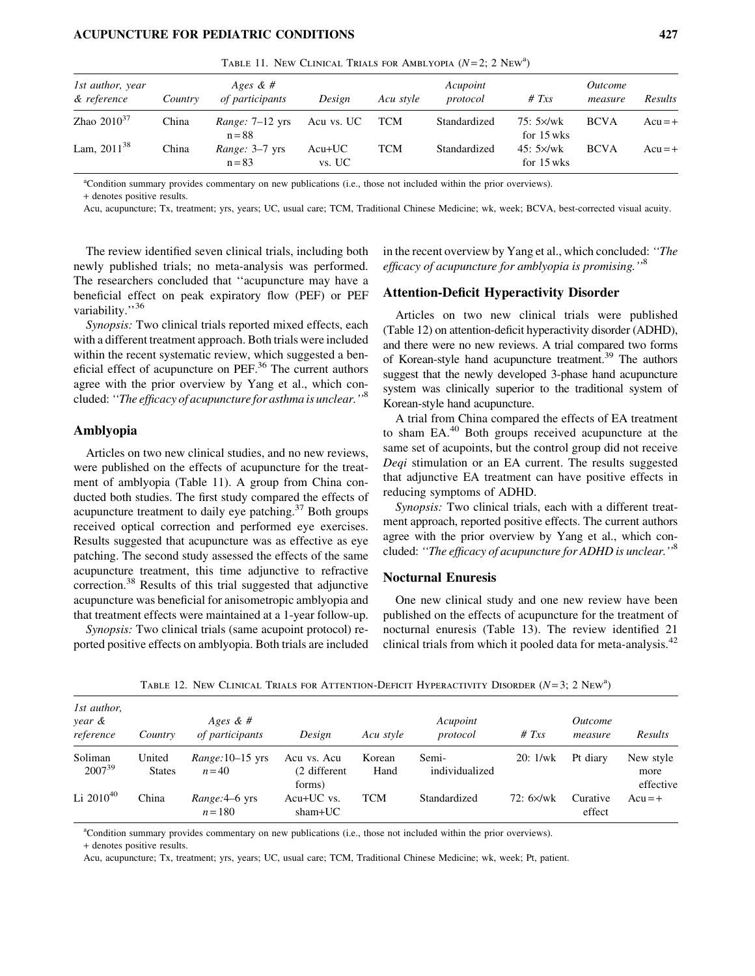TABLE 11. NEW CLINICAL TRIALS FOR AMBLYOPIA  $(N=2; 2 \text{ New}^3)$ 

| 1st author, year<br>& reference | Country | Ages & $#$<br>of participants        | Design             | Acu style  | Acupoint<br>protocol | # $Txs$                         | <i><u>Outcome</u></i><br>measure | Results   |
|---------------------------------|---------|--------------------------------------|--------------------|------------|----------------------|---------------------------------|----------------------------------|-----------|
| Zhao $2010^{37}$                | China   | <i>Range:</i> $7-12$ yrs<br>$n = 88$ | Acu vs. UC         | <b>TCM</b> | Standardized         | $75:5 \times$ /wk<br>for 15 wks | <b>BCVA</b>                      | $Acu = +$ |
| Lam, $2011^{38}$                | China   | Range: 3-7 yrs<br>$n = 83$           | $Acu+UC$<br>vs. UC | TCM        | Standardized         | $45:5 \times$ /wk<br>for 15 wks | <b>BCVA</b>                      | $Acu = +$ |

a Condition summary provides commentary on new publications (i.e., those not included within the prior overviews).

+ denotes positive results.

Acu, acupuncture; Tx, treatment; yrs, years; UC, usual care; TCM, Traditional Chinese Medicine; wk, week; BCVA, best-corrected visual acuity.

The review identified seven clinical trials, including both newly published trials; no meta-analysis was performed. The researchers concluded that ''acupuncture may have a beneficial effect on peak expiratory flow (PEF) or PEF variability."<sup>36</sup>

Synopsis: Two clinical trials reported mixed effects, each with a different treatment approach. Both trials were included within the recent systematic review, which suggested a beneficial effect of acupuncture on PEF.<sup>36</sup> The current authors agree with the prior overview by Yang et al., which concluded: "The efficacy of acupuncture for asthma is unclear."<sup>8</sup>

# Amblyopia

Articles on two new clinical studies, and no new reviews, were published on the effects of acupuncture for the treatment of amblyopia (Table 11). A group from China conducted both studies. The first study compared the effects of acupuncture treatment to daily eye patching. $37$  Both groups received optical correction and performed eye exercises. Results suggested that acupuncture was as effective as eye patching. The second study assessed the effects of the same acupuncture treatment, this time adjunctive to refractive correction.38 Results of this trial suggested that adjunctive acupuncture was beneficial for anisometropic amblyopia and that treatment effects were maintained at a 1-year follow-up.

Synopsis: Two clinical trials (same acupoint protocol) reported positive effects on amblyopia. Both trials are included in the recent overview by Yang et al., which concluded: ''The efficacy of acupuncture for amblyopia is promising.''<sup>8</sup>

#### Attention-Deficit Hyperactivity Disorder

Articles on two new clinical trials were published (Table 12) on attention-deficit hyperactivity disorder (ADHD), and there were no new reviews. A trial compared two forms of Korean-style hand acupuncture treatment.39 The authors suggest that the newly developed 3-phase hand acupuncture system was clinically superior to the traditional system of Korean-style hand acupuncture.

A trial from China compared the effects of EA treatment to sham EA.<sup>40</sup> Both groups received acupuncture at the same set of acupoints, but the control group did not receive Deqi stimulation or an EA current. The results suggested that adjunctive EA treatment can have positive effects in reducing symptoms of ADHD.

Synopsis: Two clinical trials, each with a different treatment approach, reported positive effects. The current authors agree with the prior overview by Yang et al., which concluded: ''The efficacy of acupuncture for ADHD is unclear.''<sup>8</sup>

#### Nocturnal Enuresis

One new clinical study and one new review have been published on the effects of acupuncture for the treatment of nocturnal enuresis (Table 13). The review identified 21 clinical trials from which it pooled data for meta-analysis.<sup>42</sup>

| 1st author,<br>year &<br>reference | Country                 | Ages & $#$<br>of participants | Design                                | Acu style      | Acupoint<br>protocol    | # $Txs$           | <i><u>Outcome</u></i><br>measure | Results                        |
|------------------------------------|-------------------------|-------------------------------|---------------------------------------|----------------|-------------------------|-------------------|----------------------------------|--------------------------------|
| Soliman<br>$2007^{39}$             | United<br><b>States</b> | $Range:10-15$ yrs<br>$n = 40$ | Acu vs. Acu<br>(2 different<br>forms) | Korean<br>Hand | Semi-<br>individualized | 20:1/wk           | Pt diary                         | New style<br>more<br>effective |
| Li $2010^{40}$                     | China                   | Range: 4–6 yrs<br>$n = 180$   | Acu+UC vs.<br>$sham+UC$               | <b>TCM</b>     | Standardized            | $72:6 \times$ /wk | Curative<br>effect               | $Acu = +$                      |

TABLE 12. NEW CLINICAL TRIALS FOR ATTENTION-DEFICIT HYPERACTIVITY DISORDER  $(N=3; 2 \text{ New}^3)$ 

a Condition summary provides commentary on new publications (i.e., those not included within the prior overviews).

+ denotes positive results.

Acu, acupuncture; Tx, treatment; yrs, years; UC, usual care; TCM, Traditional Chinese Medicine; wk, week; Pt, patient.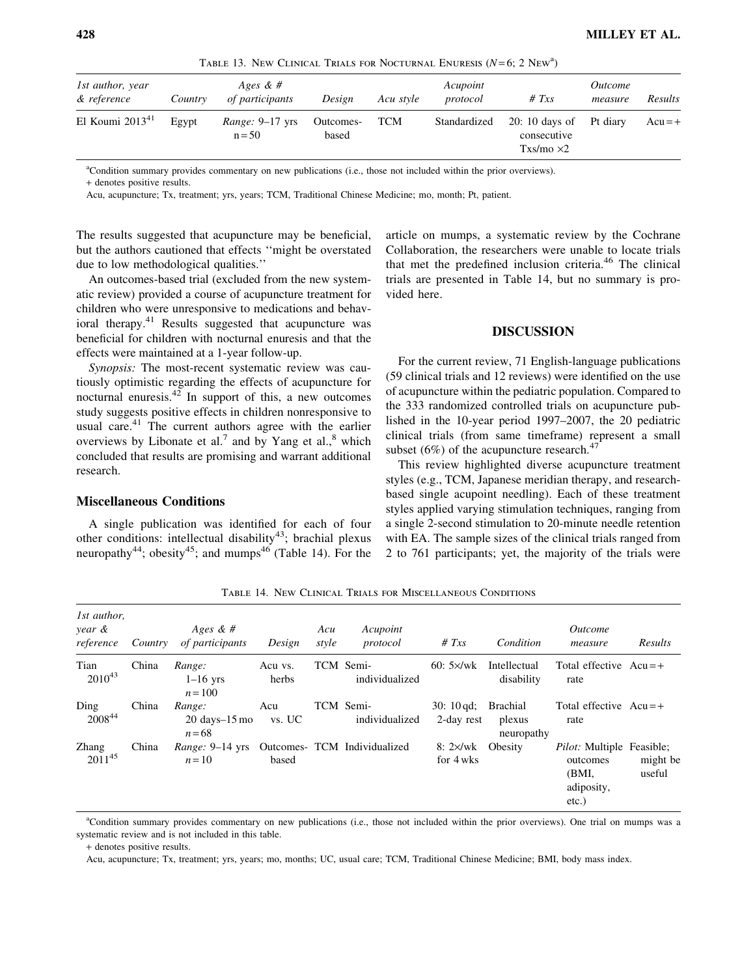TABLE 13. NEW CLINICAL TRIALS FOR NOCTURNAL ENURESIS  $(N=6; 2 \text{ New}^3)$ 

| 1st author, year<br>& reference | Country | Ages & $#$<br>of participants        | Design             | Acu style  | Acupoint<br>protocol | # $Txs$                                            | <i><u>Outcome</u></i><br>measure | Results   |
|---------------------------------|---------|--------------------------------------|--------------------|------------|----------------------|----------------------------------------------------|----------------------------------|-----------|
| El Koumi $2013^{41}$            | Egypt   | <i>Range:</i> $9-17$ yrs<br>$n = 50$ | Outcomes-<br>based | <b>TCM</b> | Standardized         | $20:10$ days of<br>consecutive<br>$Txs/mo \times2$ | Pt diary                         | $Acu = +$ |

a Condition summary provides commentary on new publications (i.e., those not included within the prior overviews). + denotes positive results.

Acu, acupuncture; Tx, treatment; yrs, years; TCM, Traditional Chinese Medicine; mo, month; Pt, patient.

The results suggested that acupuncture may be beneficial, but the authors cautioned that effects ''might be overstated due to low methodological qualities.''

An outcomes-based trial (excluded from the new systematic review) provided a course of acupuncture treatment for children who were unresponsive to medications and behavioral therapy. $41$  Results suggested that acupuncture was beneficial for children with nocturnal enuresis and that the effects were maintained at a 1-year follow-up.

Synopsis: The most-recent systematic review was cautiously optimistic regarding the effects of acupuncture for nocturnal enuresis. $42$  In support of this, a new outcomes study suggests positive effects in children nonresponsive to usual care. $41$  The current authors agree with the earlier overviews by Libonate et al.<sup>7</sup> and by Yang et al., $^8$  which concluded that results are promising and warrant additional research.

# Miscellaneous Conditions

A single publication was identified for each of four other conditions: intellectual disability<sup>43</sup>; brachial plexus neuropathy<sup>44</sup>; obesity<sup>45</sup>; and mumps<sup>46</sup> (Table 14). For the article on mumps, a systematic review by the Cochrane Collaboration, the researchers were unable to locate trials that met the predefined inclusion criteria.<sup>46</sup> The clinical trials are presented in Table 14, but no summary is provided here.

## DISCUSSION

For the current review, 71 English-language publications (59 clinical trials and 12 reviews) were identified on the use of acupuncture within the pediatric population. Compared to the 333 randomized controlled trials on acupuncture published in the 10-year period 1997–2007, the 20 pediatric clinical trials (from same timeframe) represent a small subset (6%) of the acupuncture research. $47$ 

This review highlighted diverse acupuncture treatment styles (e.g., TCM, Japanese meridian therapy, and researchbased single acupoint needling). Each of these treatment styles applied varying stimulation techniques, ranging from a single 2-second stimulation to 20-minute needle retention with EA. The sample sizes of the clinical trials ranged from 2 to 761 participants; yet, the majority of the trials were

| 1st author,<br>year &<br>reference | Country | Ages & #<br>of participants                             | Design           | Acu<br>style | Acupoint<br>protocol         | # $Txs$                     | Condition                        | <i><u>Outcome</u></i><br>measure                                                | Results            |
|------------------------------------|---------|---------------------------------------------------------|------------------|--------------|------------------------------|-----------------------------|----------------------------------|---------------------------------------------------------------------------------|--------------------|
| Tian<br>$2010^{43}$                | China   | Range:<br>$1-16$ yrs<br>$n = 100$                       | Acu vs.<br>herbs |              | TCM Semi-<br>individualized  | $60:5 \times$ /wk           | Intellectual<br>disability       | Total effective $Acu = +$<br>rate                                               |                    |
| Ding<br>200844                     | China   | Range:<br>$20 \text{ days} - 15 \text{ mo}$<br>$n = 68$ | Acu<br>vs. UC    |              | TCM Semi-<br>individualized  | $30:10$ gd;<br>2-day rest   | Brachial<br>plexus<br>neuropathy | Total effective $Acu = +$<br>rate                                               |                    |
| <b>Zhang</b><br>$2011^{45}$        | China   | <i>Range:</i> $9-14$ yrs<br>$n=10$                      | based            |              | Outcomes- TCM Individualized | $8:2\times/wk$<br>for 4 wks | Obesity                          | <i>Pilot:</i> Multiple Feasible:<br>outcomes<br>(BMI,<br>adiposity,<br>$etc.$ ) | might be<br>useful |

Table 14. New Clinical Trials for Miscellaneous Conditions

a Condition summary provides commentary on new publications (i.e., those not included within the prior overviews). One trial on mumps was a systematic review and is not included in this table.

+ denotes positive results.

Acu, acupuncture; Tx, treatment; yrs, years; mo, months; UC, usual care; TCM, Traditional Chinese Medicine; BMI, body mass index.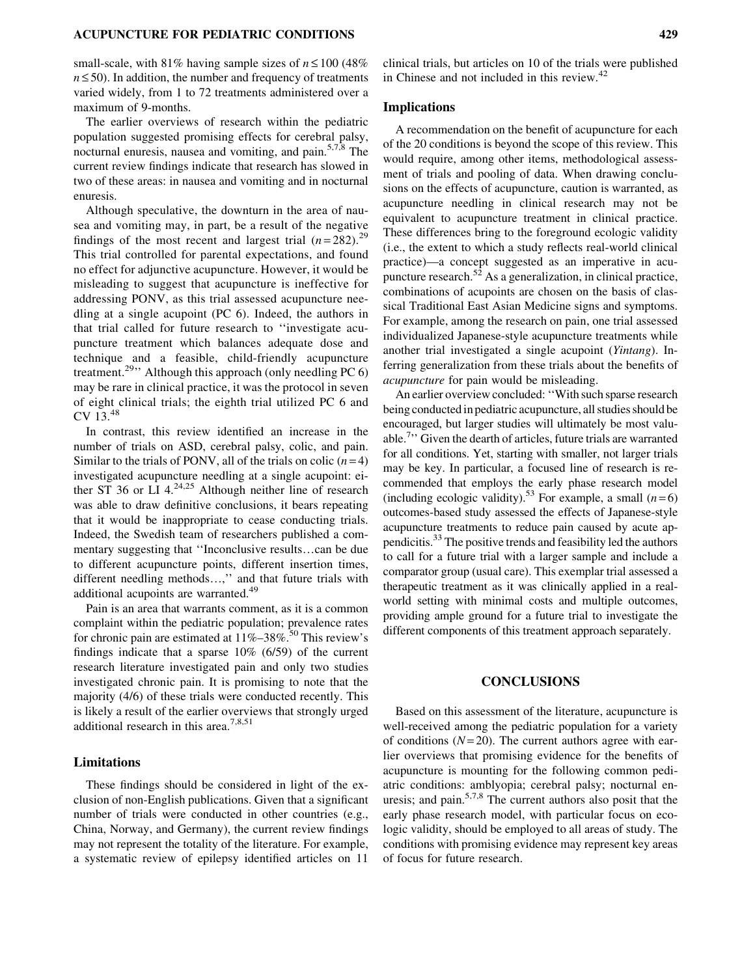small-scale, with 81% having sample sizes of  $n \le 100$  (48%  $n \leq 50$ ). In addition, the number and frequency of treatments varied widely, from 1 to 72 treatments administered over a maximum of 9-months.

The earlier overviews of research within the pediatric population suggested promising effects for cerebral palsy, nocturnal enuresis, nausea and vomiting, and pain. $5,7,8$  The current review findings indicate that research has slowed in two of these areas: in nausea and vomiting and in nocturnal enuresis.

Although speculative, the downturn in the area of nausea and vomiting may, in part, be a result of the negative findings of the most recent and largest trial  $(n=282)$ .<sup>29</sup> This trial controlled for parental expectations, and found no effect for adjunctive acupuncture. However, it would be misleading to suggest that acupuncture is ineffective for addressing PONV, as this trial assessed acupuncture needling at a single acupoint (PC 6). Indeed, the authors in that trial called for future research to ''investigate acupuncture treatment which balances adequate dose and technique and a feasible, child-friendly acupuncture treatment.<sup>29</sup><sup>1</sup> Although this approach (only needling PC 6) may be rare in clinical practice, it was the protocol in seven of eight clinical trials; the eighth trial utilized PC 6 and CV 13.<sup>48</sup>

In contrast, this review identified an increase in the number of trials on ASD, cerebral palsy, colic, and pain. Similar to the trials of PONV, all of the trials on colic  $(n=4)$ investigated acupuncture needling at a single acupoint: either ST 36 or LI  $4.24,25$  Although neither line of research was able to draw definitive conclusions, it bears repeating that it would be inappropriate to cease conducting trials. Indeed, the Swedish team of researchers published a commentary suggesting that "Inconclusive results...can be due to different acupuncture points, different insertion times, different needling methods...," and that future trials with additional acupoints are warranted.<sup>49</sup>

Pain is an area that warrants comment, as it is a common complaint within the pediatric population; prevalence rates for chronic pain are estimated at  $11\% - 38\%$ .<sup>50</sup> This review's findings indicate that a sparse 10% (6/59) of the current research literature investigated pain and only two studies investigated chronic pain. It is promising to note that the majority (4/6) of these trials were conducted recently. This is likely a result of the earlier overviews that strongly urged additional research in this area.<sup>7,8,51</sup>

#### Limitations

These findings should be considered in light of the exclusion of non-English publications. Given that a significant number of trials were conducted in other countries (e.g., China, Norway, and Germany), the current review findings may not represent the totality of the literature. For example, a systematic review of epilepsy identified articles on 11

clinical trials, but articles on 10 of the trials were published in Chinese and not included in this review.<sup>42</sup>

# Implications

A recommendation on the benefit of acupuncture for each of the 20 conditions is beyond the scope of this review. This would require, among other items, methodological assessment of trials and pooling of data. When drawing conclusions on the effects of acupuncture, caution is warranted, as acupuncture needling in clinical research may not be equivalent to acupuncture treatment in clinical practice. These differences bring to the foreground ecologic validity (i.e., the extent to which a study reflects real-world clinical practice)—a concept suggested as an imperative in acupuncture research. $52$  As a generalization, in clinical practice, combinations of acupoints are chosen on the basis of classical Traditional East Asian Medicine signs and symptoms. For example, among the research on pain, one trial assessed individualized Japanese-style acupuncture treatments while another trial investigated a single acupoint (Yintang). Inferring generalization from these trials about the benefits of acupuncture for pain would be misleading.

An earlier overview concluded: ''With such sparse research being conducted in pediatric acupuncture, all studies should be encouraged, but larger studies will ultimately be most valuable.<sup>7</sup>" Given the dearth of articles, future trials are warranted for all conditions. Yet, starting with smaller, not larger trials may be key. In particular, a focused line of research is recommended that employs the early phase research model (including ecologic validity).<sup>53</sup> For example, a small  $(n=6)$ outcomes-based study assessed the effects of Japanese-style acupuncture treatments to reduce pain caused by acute appendicitis.33 The positive trends and feasibility led the authors to call for a future trial with a larger sample and include a comparator group (usual care). This exemplar trial assessed a therapeutic treatment as it was clinically applied in a realworld setting with minimal costs and multiple outcomes, providing ample ground for a future trial to investigate the different components of this treatment approach separately.

#### CONCLUSIONS

Based on this assessment of the literature, acupuncture is well-received among the pediatric population for a variety of conditions  $(N=20)$ . The current authors agree with earlier overviews that promising evidence for the benefits of acupuncture is mounting for the following common pediatric conditions: amblyopia; cerebral palsy; nocturnal enuresis; and pain.5,7,8 The current authors also posit that the early phase research model, with particular focus on ecologic validity, should be employed to all areas of study. The conditions with promising evidence may represent key areas of focus for future research.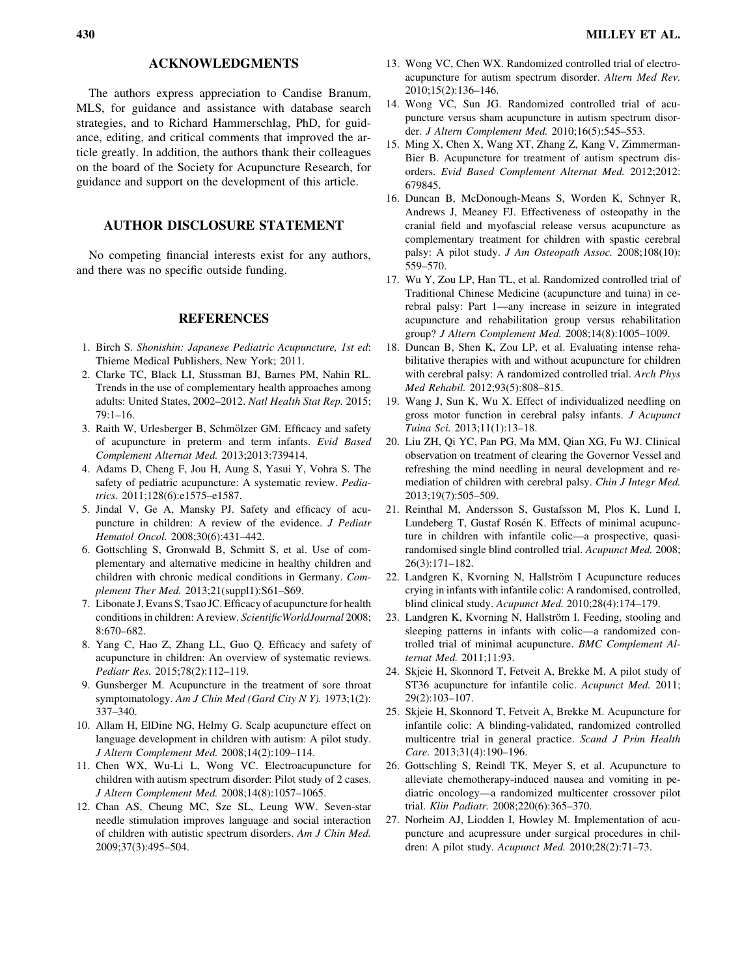#### ACKNOWLEDGMENTS

The authors express appreciation to Candise Branum, MLS, for guidance and assistance with database search strategies, and to Richard Hammerschlag, PhD, for guidance, editing, and critical comments that improved the article greatly. In addition, the authors thank their colleagues on the board of the Society for Acupuncture Research, for guidance and support on the development of this article.

# AUTHOR DISCLOSURE STATEMENT

No competing financial interests exist for any authors, and there was no specific outside funding.

## **REFERENCES**

- 1. Birch S. Shonishin: Japanese Pediatric Acupuncture, 1st ed: Thieme Medical Publishers, New York; 2011.
- 2. Clarke TC, Black LI, Stussman BJ, Barnes PM, Nahin RL. Trends in the use of complementary health approaches among adults: United States, 2002–2012. [Natl Health Stat Rep](http://online.liebertpub.com/action/showLinks?pmid=25671660). 2015; 79:1–16.
- 3. Raith W, Urlesberger B, Schmölzer GM. Efficacy and safety of acupuncture in preterm and term infants. [Evid Based](http://online.liebertpub.com/action/showLinks?pmid=23878607) [Complement Alternat Med](http://online.liebertpub.com/action/showLinks?pmid=23878607). 2013;2013:739414.
- 4. Adams D, Cheng F, Jou H, Aung S, Yasui Y, Vohra S. The safety of pediatric acupuncture: A systematic review. [Pedia](http://online.liebertpub.com/action/showLinks?pmid=22106073&crossref=10.1542%2Fpeds.2011-1091)[trics.](http://online.liebertpub.com/action/showLinks?pmid=22106073&crossref=10.1542%2Fpeds.2011-1091) 2011;128(6):e1575–e1587.
- 5. Jindal V, Ge A, Mansky PJ. Safety and efficacy of acupuncture in children: A review of the evidence. [J Pediatr](http://online.liebertpub.com/action/showLinks?pmid=18525459&crossref=10.1097%2FMPH.0b013e318165b2cc) [Hematol Oncol.](http://online.liebertpub.com/action/showLinks?pmid=18525459&crossref=10.1097%2FMPH.0b013e318165b2cc) 2008;30(6):431–442.
- 6. Gottschling S, Gronwald B, Schmitt S, et al. Use of complementary and alternative medicine in healthy children and children with chronic medical conditions in Germany. [Com](http://online.liebertpub.com/action/showLinks?crossref=10.1016%2Fj.ctim.2011.06.001)[plement Ther Med](http://online.liebertpub.com/action/showLinks?crossref=10.1016%2Fj.ctim.2011.06.001). 2013;21(suppl1):S61-S69.
- 7. Libonate J, Evans S, Tsao JC. Efficacy of acupuncture for health conditions in children: A review. [ScientificWorldJournal](http://online.liebertpub.com/action/showLinks?pmid=18661055&crossref=10.1100%2Ftsw.2008.86) 2008; 8:670–682.
- 8. Yang C, Hao Z, Zhang LL, Guo Q. Efficacy and safety of acupuncture in children: An overview of systematic reviews. [Pediatr Res.](http://online.liebertpub.com/action/showLinks?pmid=25950453&crossref=10.1038%2Fpr.2015.91) 2015;78(2):112–119.
- 9. Gunsberger M. Acupuncture in the treatment of sore throat symptomatology. [Am J Chin Med \(Gard City N Y\)](http://online.liebertpub.com/action/showLinks?pmid=4590189&crossref=10.1142%2FS0192415X73000358). 1973;1(2): 337–340.
- 10. Allam H, ElDine NG, Helmy G. Scalp acupuncture effect on language development in children with autism: A pilot study. [J Altern Complement Med](http://online.liebertpub.com/action/showLinks?system=10.1089%2Facm.2007.0508). 2008;14(2):109–114.
- 11. Chen WX, Wu-Li L, Wong VC. Electroacupuncture for children with autism spectrum disorder: Pilot study of 2 cases. [J Altern Complement Med](http://online.liebertpub.com/action/showLinks?system=10.1089%2Facm.2007.0823). 2008;14(8):1057–1065.
- 12. Chan AS, Cheung MC, Sze SL, Leung WW. Seven-star needle stimulation improves language and social interaction of children with autistic spectrum disorders. [Am J Chin Med.](http://online.liebertpub.com/action/showLinks?pmid=19606510&crossref=10.1142%2FS0192415X09007004) 2009;37(3):495–504.
- 13. Wong VC, Chen WX. Randomized controlled trial of electroacupuncture for autism spectrum disorder. [Altern Med Rev.](http://online.liebertpub.com/action/showLinks?pmid=20806998) 2010;15(2):136–146.
- 14. Wong VC, Sun JG. Randomized controlled trial of acupuncture versus sham acupuncture in autism spectrum disorder. [J Altern Complement Med](http://online.liebertpub.com/action/showLinks?system=10.1089%2Facm.2007.0768). 2010;16(5):545–553.
- 15. Ming X, Chen X, Wang XT, Zhang Z, Kang V, Zimmerman-Bier B. Acupuncture for treatment of autism spectrum disorders. [Evid Based Complement Alternat Med.](http://online.liebertpub.com/action/showLinks?pmid=22203876) 2012;2012: 679845.
- 16. Duncan B, McDonough-Means S, Worden K, Schnyer R, Andrews J, Meaney FJ. Effectiveness of osteopathy in the cranial field and myofascial release versus acupuncture as complementary treatment for children with spastic cerebral palsy: A pilot study. [J Am Osteopath Assoc.](http://online.liebertpub.com/action/showLinks?pmid=18948639) 2008;108(10): 559–570.
- 17. Wu Y, Zou LP, Han TL, et al. Randomized controlled trial of Traditional Chinese Medicine (acupuncture and tuina) in cerebral palsy: Part 1—any increase in seizure in integrated acupuncture and rehabilitation group versus rehabilitation group? [J Altern Complement Med.](http://online.liebertpub.com/action/showLinks?system=10.1089%2Facm.2007.0756) 2008;14(8):1005–1009.
- 18. Duncan B, Shen K, Zou LP, et al. Evaluating intense rehabilitative therapies with and without acupuncture for children with cerebral palsy: A randomized controlled trial. [Arch Phys](http://online.liebertpub.com/action/showLinks?pmid=22541308&crossref=10.1016%2Fj.apmr.2011.12.009) [Med Rehabil.](http://online.liebertpub.com/action/showLinks?pmid=22541308&crossref=10.1016%2Fj.apmr.2011.12.009) 2012;93(5):808–815.
- 19. Wang J, Sun K, Wu X. Effect of individualized needling on gross motor function in cerebral palsy infants. [J Acupunct](http://online.liebertpub.com/action/showLinks?crossref=10.1007%2Fs11726-013-0647-8) [Tuina Sci.](http://online.liebertpub.com/action/showLinks?crossref=10.1007%2Fs11726-013-0647-8) 2013;11(1):13–18.
- 20. Liu ZH, Qi YC, Pan PG, Ma MM, Qian XG, Fu WJ. Clinical observation on treatment of clearing the Governor Vessel and refreshing the mind needling in neural development and remediation of children with cerebral palsy. [Chin J Integr Med.](http://online.liebertpub.com/action/showLinks?pmid=23818202&crossref=10.1007%2Fs11655-013-1504-9) 2013;19(7):505–509.
- 21. Reinthal M, Andersson S, Gustafsson M, Plos K, Lund I, Lundeberg T, Gustaf Rosén K. Effects of minimal acupuncture in children with infantile colic—a prospective, quasirandomised single blind controlled trial. [Acupunct Med](http://online.liebertpub.com/action/showLinks?pmid=18818563&crossref=10.1136%2Faim.26.3.171). 2008; 26(3):171–182.
- 22. Landgren K, Kvorning N, Hallström I Acupuncture reduces crying in infants with infantile colic: A randomised, controlled, blind clinical study. [Acupunct Med](http://online.liebertpub.com/action/showLinks?pmid=20959312&crossref=10.1136%2Faim.2010.002394). 2010;28(4):174–179.
- 23. Landgren K, Kvorning N, Hallström I. Feeding, stooling and sleeping patterns in infants with colic—a randomized controlled trial of minimal acupuncture. [BMC Complement Al](http://online.liebertpub.com/action/showLinks?pmid=21989212&crossref=10.1186%2F1472-6882-11-93)[ternat Med](http://online.liebertpub.com/action/showLinks?pmid=21989212&crossref=10.1186%2F1472-6882-11-93). 2011;11:93.
- 24. Skjeie H, Skonnord T, Fetveit A, Brekke M. A pilot study of ST36 acupuncture for infantile colic. [Acupunct Med.](http://online.liebertpub.com/action/showLinks?pmid=21450707&crossref=10.1136%2Faim.2010.003590) 2011; 29(2):103–107.
- 25. Skjeie H, Skonnord T, Fetveit A, Brekke M. Acupuncture for infantile colic: A blinding-validated, randomized controlled multicentre trial in general practice. [Scand J Prim Health](http://online.liebertpub.com/action/showLinks?pmid=24228748&crossref=10.3109%2F02813432.2013.862915) [Care.](http://online.liebertpub.com/action/showLinks?pmid=24228748&crossref=10.3109%2F02813432.2013.862915) 2013;31(4):190–196.
- 26. Gottschling S, Reindl TK, Meyer S, et al. Acupuncture to alleviate chemotherapy-induced nausea and vomiting in pediatric oncology—a randomized multicenter crossover pilot trial. [Klin Padiatr](http://online.liebertpub.com/action/showLinks?pmid=18949672&crossref=10.1055%2Fs-0028-1086039). 2008;220(6):365–370.
- 27. Norheim AJ, Liodden I, Howley M. Implementation of acupuncture and acupressure under surgical procedures in children: A pilot study. [Acupunct Med.](http://online.liebertpub.com/action/showLinks?pmid=20458123&crossref=10.1136%2Faim.2009.002220) 2010;28(2):71–73.